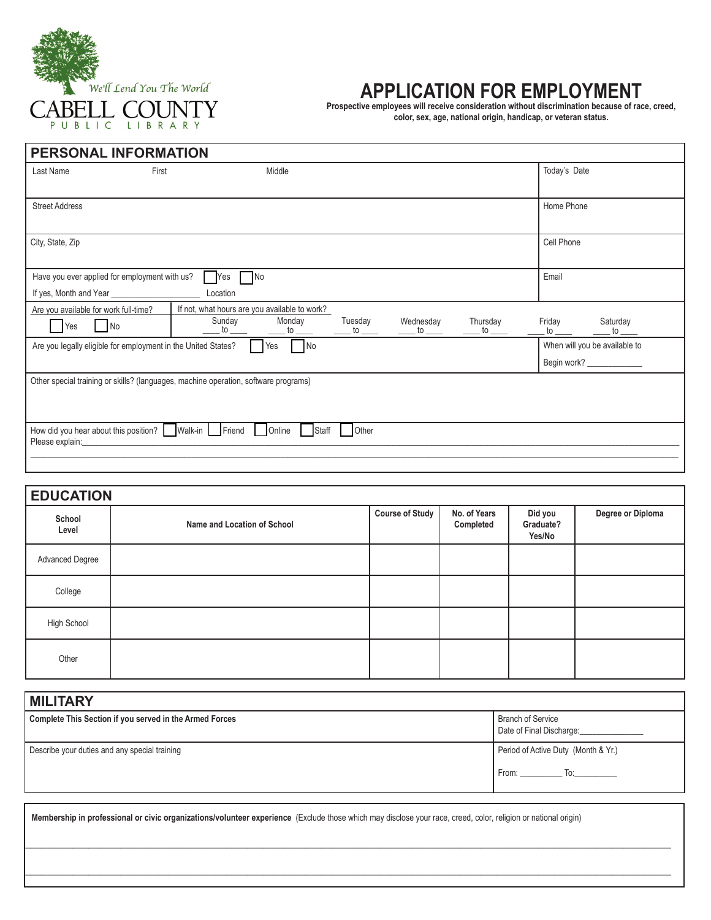

## **APPLICATION FOR EMPLOYMENT**

**Prospective employees will receive consideration without discrimination because of race, creed, color, sex, age, national origin, handicap, or veteran status.**

| <b>PERSONAL INFORMATION</b>                                                              |                                                                                                     |                                                                    |                   |                                                                  |
|------------------------------------------------------------------------------------------|-----------------------------------------------------------------------------------------------------|--------------------------------------------------------------------|-------------------|------------------------------------------------------------------|
| Last Name<br>First                                                                       | Middle                                                                                              |                                                                    |                   | Today's Date                                                     |
| <b>Street Address</b>                                                                    |                                                                                                     |                                                                    |                   | Home Phone                                                       |
| City, State, Zip                                                                         |                                                                                                     |                                                                    |                   | Cell Phone                                                       |
| Have you ever applied for employment with us?                                            | $\n  No\n$<br>Yes<br>Location                                                                       |                                                                    |                   | Email                                                            |
| Are you available for work full-time?<br>Yes<br>No                                       | If not, what hours are you available to work?<br>Sunday<br>Monday<br>$-$ to $\_\_$<br>$\mathsf{to}$ | Tuesday<br>Wednesday<br>. to $\rule{1em}{0.15mm}$<br>$\mathsf{to}$ | Thursday<br>to to | Saturday<br>Friday<br>$\mathsf{to}$ $\mathsf{}$<br>$\mathsf{to}$ |
| <b>No</b><br>Are you legally eligible for employment in the United States?<br><b>Yes</b> |                                                                                                     |                                                                    |                   | When will you be available to<br>Begin work? ______________      |
|                                                                                          | Other special training or skills? (languages, machine operation, software programs)                 |                                                                    |                   |                                                                  |
| How did you hear about this position?   Walk-in Friend<br>Please explain:                | Online<br>Staff                                                                                     | Other                                                              |                   |                                                                  |

| <b>EDUCATION</b> |                             |                 |                           |                                |                   |  |
|------------------|-----------------------------|-----------------|---------------------------|--------------------------------|-------------------|--|
| School<br>Level  | Name and Location of School | Course of Study | No. of Years<br>Completed | Did you<br>Graduate?<br>Yes/No | Degree or Diploma |  |
| Advanced Degree  |                             |                 |                           |                                |                   |  |
| College          |                             |                 |                           |                                |                   |  |
| High School      |                             |                 |                           |                                |                   |  |
| Other            |                             |                 |                           |                                |                   |  |

| <b>MILITARY</b>                                         |                                               |  |  |  |  |
|---------------------------------------------------------|-----------------------------------------------|--|--|--|--|
| Complete This Section if you served in the Armed Forces | Branch of Service<br>Date of Final Discharge: |  |  |  |  |
| Describe your duties and any special training           | Period of Active Duty (Month & Yr.)           |  |  |  |  |
|                                                         | From: To: To:                                 |  |  |  |  |

 $\mathcal{L}_\mathcal{L} = \{ \mathcal{L}_\mathcal{L} = \{ \mathcal{L}_\mathcal{L} = \{ \mathcal{L}_\mathcal{L} = \{ \mathcal{L}_\mathcal{L} = \{ \mathcal{L}_\mathcal{L} = \{ \mathcal{L}_\mathcal{L} = \{ \mathcal{L}_\mathcal{L} = \{ \mathcal{L}_\mathcal{L} = \{ \mathcal{L}_\mathcal{L} = \{ \mathcal{L}_\mathcal{L} = \{ \mathcal{L}_\mathcal{L} = \{ \mathcal{L}_\mathcal{L} = \{ \mathcal{L}_\mathcal{L} = \{ \mathcal{L}_\mathcal{$ 

 $\mathcal{L}_\mathcal{L} = \{ \mathcal{L}_\mathcal{L} = \{ \mathcal{L}_\mathcal{L} = \{ \mathcal{L}_\mathcal{L} = \{ \mathcal{L}_\mathcal{L} = \{ \mathcal{L}_\mathcal{L} = \{ \mathcal{L}_\mathcal{L} = \{ \mathcal{L}_\mathcal{L} = \{ \mathcal{L}_\mathcal{L} = \{ \mathcal{L}_\mathcal{L} = \{ \mathcal{L}_\mathcal{L} = \{ \mathcal{L}_\mathcal{L} = \{ \mathcal{L}_\mathcal{L} = \{ \mathcal{L}_\mathcal{L} = \{ \mathcal{L}_\mathcal{$ 

 **Membership in professional or civic organizations/volunteer experience** (Exclude those which may disclose your race, creed, color, religion or national origin)